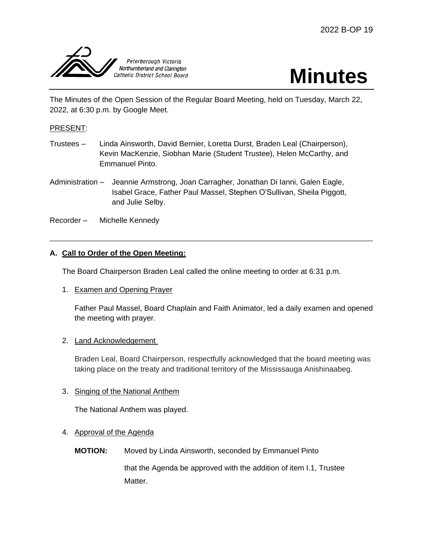



The Minutes of the Open Session of the Regular Board Meeting, held on Tuesday, March 22, 2022, at 6:30 p.m. by Google Meet.

### PRESENT:

- Trustees Linda Ainsworth, David Bernier, Loretta Durst, Braden Leal (Chairperson), Kevin MacKenzie, Siobhan Marie (Student Trustee), Helen McCarthy, and Emmanuel Pinto.
- Administration Jeannie Armstrong, Joan Carragher, Jonathan Di Ianni, Galen Eagle, Isabel Grace, Father Paul Massel, Stephen O'Sullivan, Sheila Piggott, and Julie Selby.
- Recorder Michelle Kennedy

## **A. Call to Order of the Open Meeting:**

The Board Chairperson Braden Leal called the online meeting to order at 6:31 p.m.

1. Examen and Opening Prayer

Father Paul Massel, Board Chaplain and Faith Animator, led a daily examen and opened the meeting with prayer.

#### 2. Land Acknowledgement

Braden Leal, Board Chairperson, respectfully acknowledged that the board meeting was taking place on the treaty and traditional territory of the Mississauga Anishinaabeg.

### 3. Singing of the National Anthem

The National Anthem was played.

### 4. Approval of the Agenda

**MOTION:** Moved by Linda Ainsworth, seconded by Emmanuel Pinto

that the Agenda be approved with the addition of item I.1, Trustee Matter.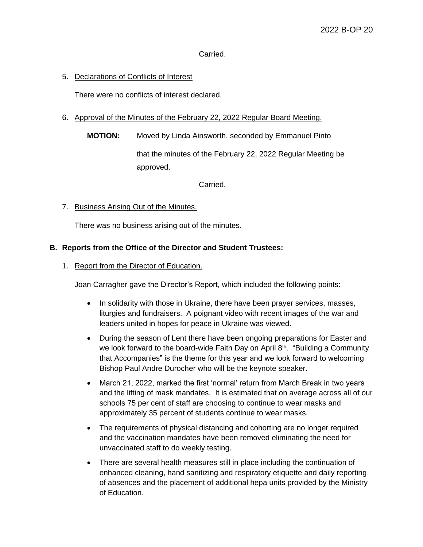Carried.

### 5. Declarations of Conflicts of Interest

There were no conflicts of interest declared.

#### 6. Approval of the Minutes of the February 22, 2022 Regular Board Meeting.

**MOTION:** Moved by Linda Ainsworth, seconded by Emmanuel Pinto

that the minutes of the February 22, 2022 Regular Meeting be approved.

Carried.

7. Business Arising Out of the Minutes.

There was no business arising out of the minutes.

#### **B. Reports from the Office of the Director and Student Trustees:**

1. Report from the Director of Education.

Joan Carragher gave the Director's Report, which included the following points:

- In solidarity with those in Ukraine, there have been prayer services, masses, liturgies and fundraisers. A poignant video with recent images of the war and leaders united in hopes for peace in Ukraine was viewed.
- During the season of Lent there have been ongoing preparations for Easter and we look forward to the board-wide Faith Day on April  $8<sup>th</sup>$ . "Building a Community that Accompanies" is the theme for this year and we look forward to welcoming Bishop Paul Andre Durocher who will be the keynote speaker.
- March 21, 2022, marked the first 'normal' return from March Break in two years and the lifting of mask mandates. It is estimated that on average across all of our schools 75 per cent of staff are choosing to continue to wear masks and approximately 35 percent of students continue to wear masks.
- The requirements of physical distancing and cohorting are no longer required and the vaccination mandates have been removed eliminating the need for unvaccinated staff to do weekly testing.
- There are several health measures still in place including the continuation of enhanced cleaning, hand sanitizing and respiratory etiquette and daily reporting of absences and the placement of additional hepa units provided by the Ministry of Education.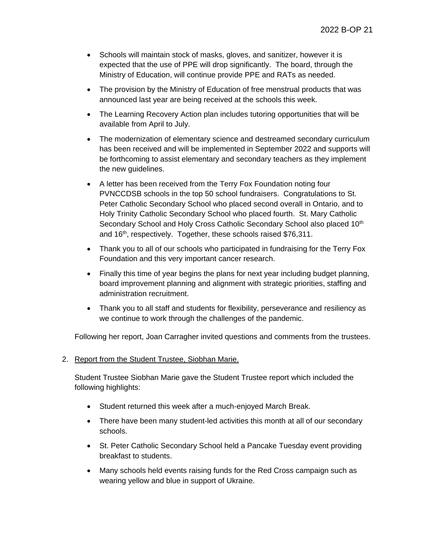- Schools will maintain stock of masks, gloves, and sanitizer, however it is expected that the use of PPE will drop significantly. The board, through the Ministry of Education, will continue provide PPE and RATs as needed.
- The provision by the Ministry of Education of free menstrual products that was announced last year are being received at the schools this week.
- The Learning Recovery Action plan includes tutoring opportunities that will be available from April to July.
- The modernization of elementary science and destreamed secondary curriculum has been received and will be implemented in September 2022 and supports will be forthcoming to assist elementary and secondary teachers as they implement the new guidelines.
- A letter has been received from the Terry Fox Foundation noting four PVNCCDSB schools in the top 50 school fundraisers. Congratulations to St. Peter Catholic Secondary School who placed second overall in Ontario, and to Holy Trinity Catholic Secondary School who placed fourth. St. Mary Catholic Secondary School and Holy Cross Catholic Secondary School also placed 10<sup>th</sup> and 16<sup>th</sup>, respectively. Together, these schools raised \$76,311.
- Thank you to all of our schools who participated in fundraising for the Terry Fox Foundation and this very important cancer research.
- Finally this time of year begins the plans for next year including budget planning, board improvement planning and alignment with strategic priorities, staffing and administration recruitment.
- Thank you to all staff and students for flexibility, perseverance and resiliency as we continue to work through the challenges of the pandemic.

Following her report, Joan Carragher invited questions and comments from the trustees.

### 2. Report from the Student Trustee, Siobhan Marie.

Student Trustee Siobhan Marie gave the Student Trustee report which included the following highlights:

- Student returned this week after a much-enjoyed March Break.
- There have been many student-led activities this month at all of our secondary schools.
- St. Peter Catholic Secondary School held a Pancake Tuesday event providing breakfast to students.
- Many schools held events raising funds for the Red Cross campaign such as wearing yellow and blue in support of Ukraine.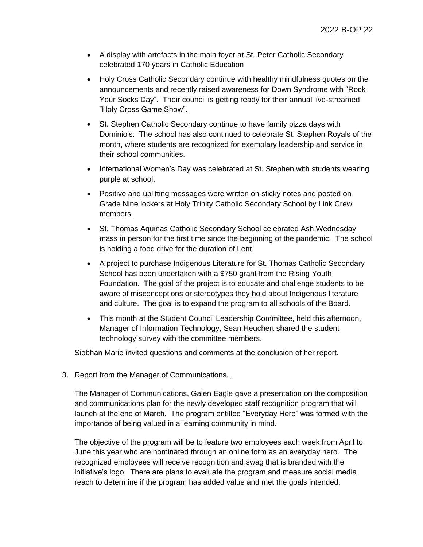- A display with artefacts in the main foyer at St. Peter Catholic Secondary celebrated 170 years in Catholic Education
- Holy Cross Catholic Secondary continue with healthy mindfulness quotes on the announcements and recently raised awareness for Down Syndrome with "Rock Your Socks Day". Their council is getting ready for their annual live-streamed "Holy Cross Game Show".
- St. Stephen Catholic Secondary continue to have family pizza days with Dominio's. The school has also continued to celebrate St. Stephen Royals of the month, where students are recognized for exemplary leadership and service in their school communities.
- International Women's Day was celebrated at St. Stephen with students wearing purple at school.
- Positive and uplifting messages were written on sticky notes and posted on Grade Nine lockers at Holy Trinity Catholic Secondary School by Link Crew members.
- St. Thomas Aquinas Catholic Secondary School celebrated Ash Wednesday mass in person for the first time since the beginning of the pandemic. The school is holding a food drive for the duration of Lent.
- A project to purchase Indigenous Literature for St. Thomas Catholic Secondary School has been undertaken with a \$750 grant from the Rising Youth Foundation. The goal of the project is to educate and challenge students to be aware of misconceptions or stereotypes they hold about Indigenous literature and culture. The goal is to expand the program to all schools of the Board.
- This month at the Student Council Leadership Committee, held this afternoon, Manager of Information Technology, Sean Heuchert shared the student technology survey with the committee members.

Siobhan Marie invited questions and comments at the conclusion of her report.

### 3. Report from the Manager of Communications.

The Manager of Communications, Galen Eagle gave a presentation on the composition and communications plan for the newly developed staff recognition program that will launch at the end of March. The program entitled "Everyday Hero" was formed with the importance of being valued in a learning community in mind.

The objective of the program will be to feature two employees each week from April to June this year who are nominated through an online form as an everyday hero. The recognized employees will receive recognition and swag that is branded with the initiative's logo. There are plans to evaluate the program and measure social media reach to determine if the program has added value and met the goals intended.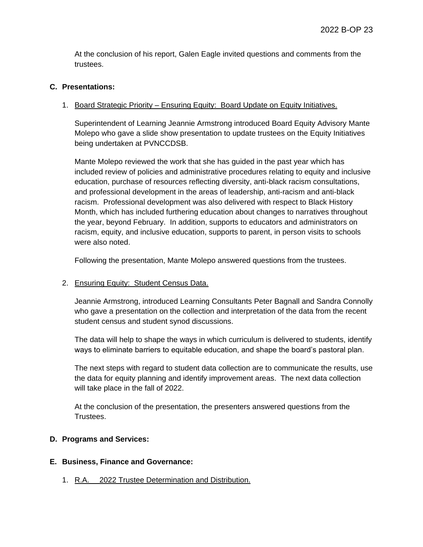At the conclusion of his report, Galen Eagle invited questions and comments from the trustees.

### **C. Presentations:**

### 1. Board Strategic Priority – Ensuring Equity: Board Update on Equity Initiatives.

Superintendent of Learning Jeannie Armstrong introduced Board Equity Advisory Mante Molepo who gave a slide show presentation to update trustees on the Equity Initiatives being undertaken at PVNCCDSB.

Mante Molepo reviewed the work that she has guided in the past year which has included review of policies and administrative procedures relating to equity and inclusive education, purchase of resources reflecting diversity, anti-black racism consultations, and professional development in the areas of leadership, anti-racism and anti-black racism. Professional development was also delivered with respect to Black History Month, which has included furthering education about changes to narratives throughout the year, beyond February. In addition, supports to educators and administrators on racism, equity, and inclusive education, supports to parent, in person visits to schools were also noted.

Following the presentation, Mante Molepo answered questions from the trustees.

#### 2. Ensuring Equity: Student Census Data.

Jeannie Armstrong, introduced Learning Consultants Peter Bagnall and Sandra Connolly who gave a presentation on the collection and interpretation of the data from the recent student census and student synod discussions.

The data will help to shape the ways in which curriculum is delivered to students, identify ways to eliminate barriers to equitable education, and shape the board's pastoral plan.

The next steps with regard to student data collection are to communicate the results, use the data for equity planning and identify improvement areas. The next data collection will take place in the fall of 2022.

At the conclusion of the presentation, the presenters answered questions from the Trustees.

### **D. Programs and Services:**

#### **E. Business, Finance and Governance:**

1. R.A. 2022 Trustee Determination and Distribution.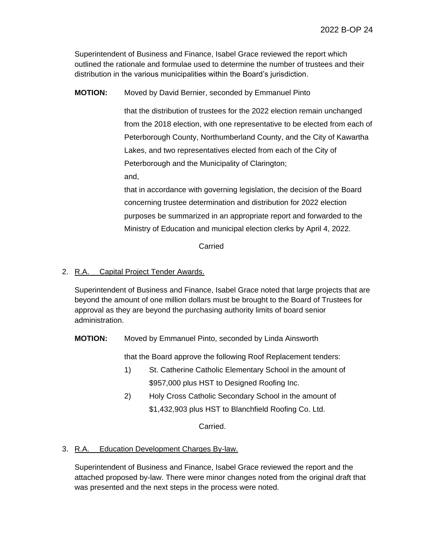Superintendent of Business and Finance, Isabel Grace reviewed the report which outlined the rationale and formulae used to determine the number of trustees and their distribution in the various municipalities within the Board's jurisdiction.

**MOTION:** Moved by David Bernier, seconded by Emmanuel Pinto

that the distribution of trustees for the 2022 election remain unchanged from the 2018 election, with one representative to be elected from each of Peterborough County, Northumberland County, and the City of Kawartha Lakes, and two representatives elected from each of the City of Peterborough and the Municipality of Clarington; and,

that in accordance with governing legislation, the decision of the Board concerning trustee determination and distribution for 2022 election purposes be summarized in an appropriate report and forwarded to the Ministry of Education and municipal election clerks by April 4, 2022.

### Carried

## 2. R.A. Capital Project Tender Awards.

Superintendent of Business and Finance, Isabel Grace noted that large projects that are beyond the amount of one million dollars must be brought to the Board of Trustees for approval as they are beyond the purchasing authority limits of board senior administration.

**MOTION:** Moved by Emmanuel Pinto, seconded by Linda Ainsworth

that the Board approve the following Roof Replacement tenders:

- 1) St. Catherine Catholic Elementary School in the amount of \$957,000 plus HST to Designed Roofing Inc.
- 2) Holy Cross Catholic Secondary School in the amount of \$1,432,903 plus HST to Blanchfield Roofing Co. Ltd.

Carried.

### 3. R.A. Education Development Charges By-law.

Superintendent of Business and Finance, Isabel Grace reviewed the report and the attached proposed by-law. There were minor changes noted from the original draft that was presented and the next steps in the process were noted.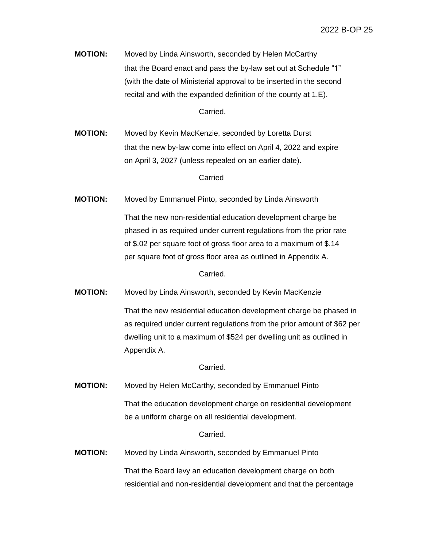**MOTION:** Moved by Linda Ainsworth, seconded by Helen McCarthy that the Board enact and pass the by-law set out at Schedule "1" (with the date of Ministerial approval to be inserted in the second recital and with the expanded definition of the county at 1.E).

Carried.

**MOTION:** Moved by Kevin MacKenzie, seconded by Loretta Durst that the new by-law come into effect on April 4, 2022 and expire on April 3, 2027 (unless repealed on an earlier date).

Carried

**MOTION:** Moved by Emmanuel Pinto, seconded by Linda Ainsworth

That the new non-residential education development charge be phased in as required under current regulations from the prior rate of \$.02 per square foot of gross floor area to a maximum of \$.14 per square foot of gross floor area as outlined in Appendix A.

Carried.

**MOTION:** Moved by Linda Ainsworth, seconded by Kevin MacKenzie

That the new residential education development charge be phased in as required under current regulations from the prior amount of \$62 per dwelling unit to a maximum of \$524 per dwelling unit as outlined in Appendix A.

Carried.

**MOTION:** Moved by Helen McCarthy, seconded by Emmanuel Pinto That the education development charge on residential development be a uniform charge on all residential development.

Carried.

**MOTION:** Moved by Linda Ainsworth, seconded by Emmanuel Pinto

That the Board levy an education development charge on both residential and non-residential development and that the percentage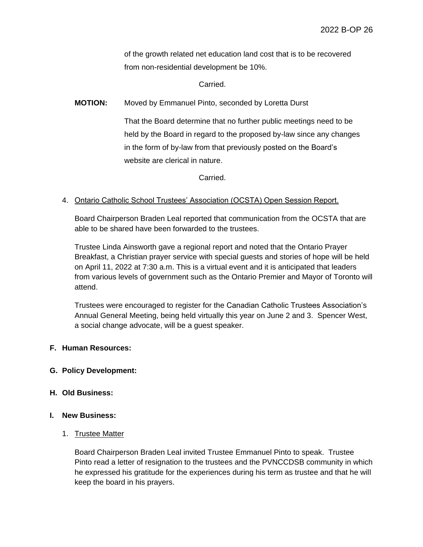of the growth related net education land cost that is to be recovered from non-residential development be 10%.

Carried.

**MOTION:** Moved by Emmanuel Pinto, seconded by Loretta Durst

That the Board determine that no further public meetings need to be held by the Board in regard to the proposed by-law since any changes in the form of by-law from that previously posted on the Board's website are clerical in nature.

Carried.

#### 4. Ontario Catholic School Trustees' Association (OCSTA) Open Session Report.

Board Chairperson Braden Leal reported that communication from the OCSTA that are able to be shared have been forwarded to the trustees.

Trustee Linda Ainsworth gave a regional report and noted that the Ontario Prayer Breakfast, a Christian prayer service with special guests and stories of hope will be held on April 11, 2022 at 7:30 a.m. This is a virtual event and it is anticipated that leaders from various levels of government such as the Ontario Premier and Mayor of Toronto will attend.

Trustees were encouraged to register for the Canadian Catholic Trustees Association's Annual General Meeting, being held virtually this year on June 2 and 3. Spencer West, a social change advocate, will be a guest speaker.

#### **F. Human Resources:**

#### **G. Policy Development:**

#### **H. Old Business:**

#### **I. New Business:**

#### 1. Trustee Matter

Board Chairperson Braden Leal invited Trustee Emmanuel Pinto to speak. Trustee Pinto read a letter of resignation to the trustees and the PVNCCDSB community in which he expressed his gratitude for the experiences during his term as trustee and that he will keep the board in his prayers.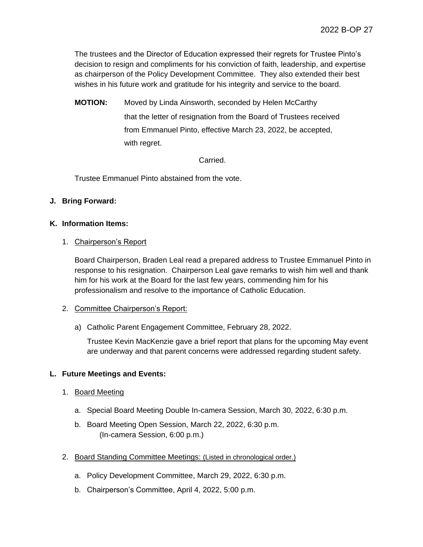The trustees and the Director of Education expressed their regrets for Trustee Pinto's decision to resign and compliments for his conviction of faith, leadership, and expertise as chairperson of the Policy Development Committee. They also extended their best wishes in his future work and gratitude for his integrity and service to the board.

**MOTION:** Moved by Linda Ainsworth, seconded by Helen McCarthy that the letter of resignation from the Board of Trustees received from Emmanuel Pinto, effective March 23, 2022, be accepted, with regret.

### Carried.

Trustee Emmanuel Pinto abstained from the vote.

# **J. Bring Forward:**

## **K. Information Items:**

## 1. Chairperson's Report

Board Chairperson, Braden Leal read a prepared address to Trustee Emmanuel Pinto in response to his resignation. Chairperson Leal gave remarks to wish him well and thank him for his work at the Board for the last few years, commending him for his professionalism and resolve to the importance of Catholic Education.

### 2. Committee Chairperson's Report:

a) Catholic Parent Engagement Committee, February 28, 2022.

Trustee Kevin MacKenzie gave a brief report that plans for the upcoming May event are underway and that parent concerns were addressed regarding student safety.

# **L. Future Meetings and Events:**

- 1. Board Meeting
	- a. Special Board Meeting Double In-camera Session, March 30, 2022, 6:30 p.m.
	- b. Board Meeting Open Session, March 22, 2022, 6:30 p.m. (In-camera Session, 6:00 p.m.)
- 2. Board Standing Committee Meetings: (Listed in chronological order.)
	- a. Policy Development Committee, March 29, 2022, 6:30 p.m.
	- b. Chairperson's Committee, April 4, 2022, 5:00 p.m.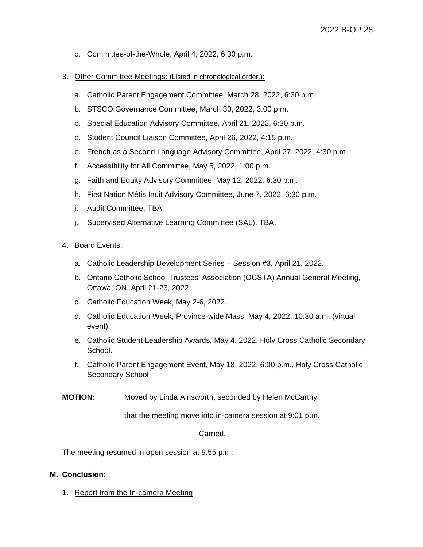- c. Committee-of-the-Whole, April 4, 2022, 6:30 p.m.
- 3. Other Committee Meetings: (Listed in chronological order.):
	- a. Catholic Parent Engagement Committee, March 28, 2022, 6:30 p.m.
	- b. STSCO Governance Committee, March 30, 2022, 3:00 p.m.
	- c. Special Education Advisory Committee, April 21, 2022, 6:30 p.m.
	- d. Student Council Liaison Committee, April 26, 2022, 4:15 p.m.
	- e. French as a Second Language Advisory Committee, April 27, 2022, 4:30 p.m.
	- f. Accessibility for All Committee, May 5, 2022, 1:00 p.m.
	- g. Faith and Equity Advisory Committee, May 12, 2022, 6:30 p.m.
	- h. First Nation Métis Inuit Advisory Committee, June 7, 2022, 6:30 p.m.
	- i. Audit Committee, TBA
	- j. Supervised Alternative Learning Committee (SAL), TBA.

#### 4. Board Events:

- a. Catholic Leadership Development Series Session #3, April 21, 2022.
- b. Ontario Catholic School Trustees' Association (OCSTA) Annual General Meeting, Ottawa, ON, April 21-23, 2022.
- c. Catholic Education Week, May 2-6, 2022.
- d. Catholic Education Week, Province-wide Mass, May 4, 2022. 10:30 a.m. (virtual event)
- e. Catholic Student Leadership Awards, May 4, 2022, Holy Cross Catholic Secondary School.
- f. Catholic Parent Engagement Event, May 18, 2022, 6:00 p.m., Holy Cross Catholic Secondary School
- **MOTION:** Moved by Linda Ainsworth, seconded by Helen McCarthy

that the meeting move into in-camera session at 9:01 p.m.

#### Carried.

The meeting resumed in open session at 9:55 p.m.

#### **M. Conclusion:**

1. Report from the In-camera Meeting